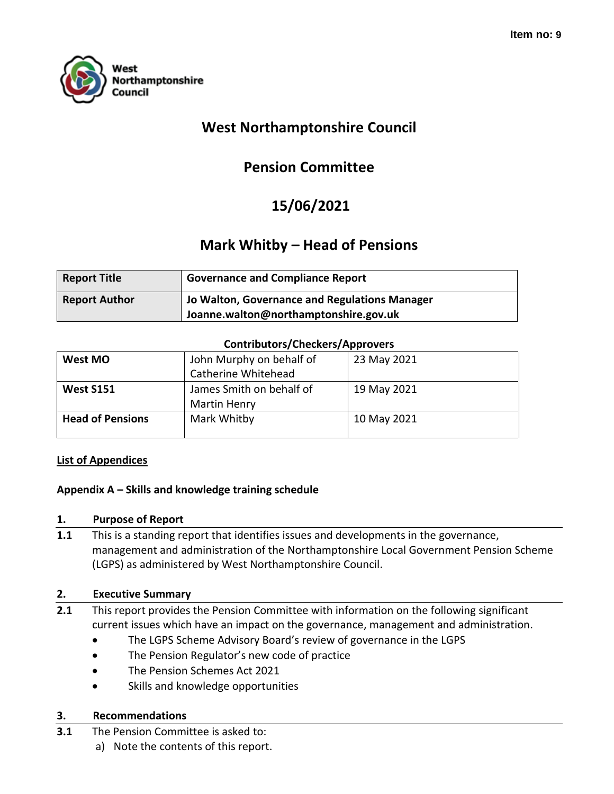

# **West Northamptonshire Council**

# **Pension Committee**

# **15/06/2021**

## **Mark Whitby – Head of Pensions**

| <b>Report Title</b>  | <b>Governance and Compliance Report</b>       |
|----------------------|-----------------------------------------------|
| <b>Report Author</b> | Jo Walton, Governance and Regulations Manager |
|                      | Joanne.walton@northamptonshire.gov.uk         |

#### **Contributors/Checkers/Approvers**

| West MO                 | John Murphy on behalf of | 23 May 2021 |
|-------------------------|--------------------------|-------------|
|                         | Catherine Whitehead      |             |
| <b>West S151</b>        | James Smith on behalf of | 19 May 2021 |
|                         | <b>Martin Henry</b>      |             |
| <b>Head of Pensions</b> | Mark Whitby              | 10 May 2021 |
|                         |                          |             |

#### **List of Appendices**

#### **Appendix A – Skills and knowledge training schedule**

#### **1. Purpose of Report**

**1.1** This is a standing report that identifies issues and developments in the governance, management and administration of the Northamptonshire Local Government Pension Scheme (LGPS) as administered by West Northamptonshire Council.

#### **2. Executive Summary**

- **2.1** This report provides the Pension Committee with information on the following significant current issues which have an impact on the governance, management and administration.
	- The LGPS Scheme Advisory Board's review of governance in the LGPS
	- The Pension Regulator's new code of practice
	- The Pension Schemes Act 2021
	- Skills and knowledge opportunities

### **3. Recommendations**

- **3.1** The Pension Committee is asked to:
	- a) Note the contents of this report.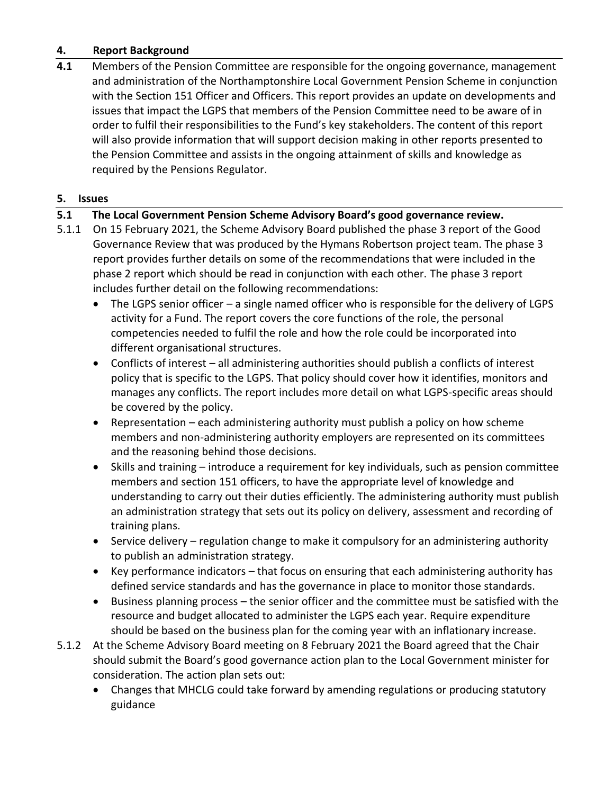### **4. Report Background**

**4.1** Members of the Pension Committee are responsible for the ongoing governance, management and administration of the Northamptonshire Local Government Pension Scheme in conjunction with the Section 151 Officer and Officers. This report provides an update on developments and issues that impact the LGPS that members of the Pension Committee need to be aware of in order to fulfil their responsibilities to the Fund's key stakeholders. The content of this report will also provide information that will support decision making in other reports presented to the Pension Committee and assists in the ongoing attainment of skills and knowledge as required by the Pensions Regulator.

### **5. Issues**

## **5.1 The Local Government Pension Scheme Advisory Board's good governance review.**

- 5.1.1 On 15 February 2021, the Scheme Advisory Board published the phase 3 report of the Good Governance Review that was produced by the Hymans Robertson project team. The phase 3 report provides further details on some of the recommendations that were included in the phase 2 report which should be read in conjunction with each other. The phase 3 report includes further detail on the following recommendations:
	- The LGPS senior officer a single named officer who is responsible for the delivery of LGPS activity for a Fund. The report covers the core functions of the role, the personal competencies needed to fulfil the role and how the role could be incorporated into different organisational structures.
	- Conflicts of interest all administering authorities should publish a conflicts of interest policy that is specific to the LGPS. That policy should cover how it identifies, monitors and manages any conflicts. The report includes more detail on what LGPS-specific areas should be covered by the policy.
	- Representation each administering authority must publish a policy on how scheme members and non-administering authority employers are represented on its committees and the reasoning behind those decisions.
	- Skills and training introduce a requirement for key individuals, such as pension committee members and section 151 officers, to have the appropriate level of knowledge and understanding to carry out their duties efficiently. The administering authority must publish an administration strategy that sets out its policy on delivery, assessment and recording of training plans.
	- Service delivery regulation change to make it compulsory for an administering authority to publish an administration strategy.
	- Key performance indicators that focus on ensuring that each administering authority has defined service standards and has the governance in place to monitor those standards.
	- Business planning process the senior officer and the committee must be satisfied with the resource and budget allocated to administer the LGPS each year. Require expenditure should be based on the business plan for the coming year with an inflationary increase.
- 5.1.2 At the Scheme Advisory Board meeting on 8 February 2021 the Board agreed that the Chair should submit the Board's good governance action plan to the Local Government minister for consideration. The action plan sets out:
	- Changes that MHCLG could take forward by amending regulations or producing statutory guidance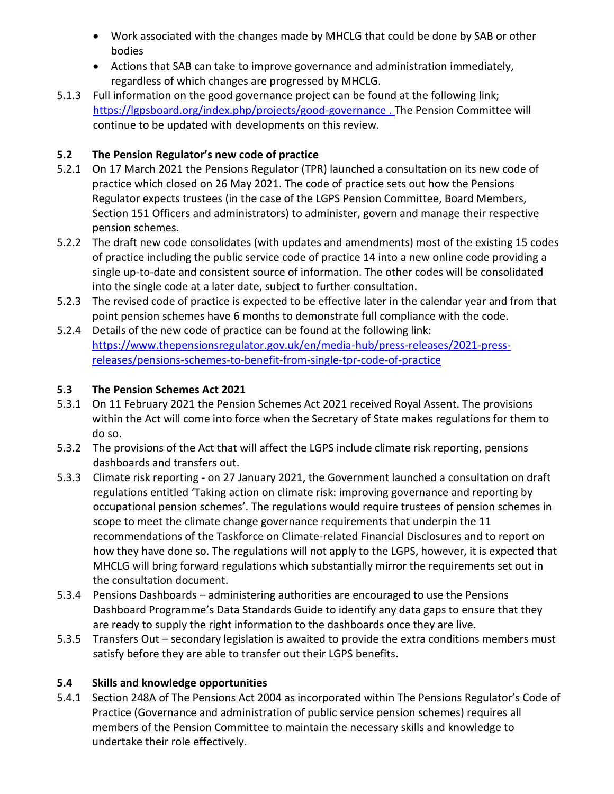- Work associated with the changes made by MHCLG that could be done by SAB or other bodies
- Actions that SAB can take to improve governance and administration immediately, regardless of which changes are progressed by MHCLG.
- 5.1.3 Full information on the good governance project can be found at the following link; <https://lgpsboard.org/index.php/projects/good-governance> . The Pension Committee will continue to be updated with developments on this review.

## **5.2 The Pension Regulator's new code of practice**

- 5.2.1 On 17 March 2021 the Pensions Regulator (TPR) launched a consultation on its new code of practice which closed on 26 May 2021. The code of practice sets out how the Pensions Regulator expects trustees (in the case of the LGPS Pension Committee, Board Members, Section 151 Officers and administrators) to administer, govern and manage their respective pension schemes.
- 5.2.2 The draft new code consolidates (with updates and amendments) most of the existing 15 codes of practice including the public service code of practice 14 into a new online code providing a single up-to-date and consistent source of information. The other codes will be consolidated into the single code at a later date, subject to further consultation.
- 5.2.3 The revised code of practice is expected to be effective later in the calendar year and from that point pension schemes have 6 months to demonstrate full compliance with the code.
- 5.2.4 Details of the new code of practice can be found at the following link: [https://www.thepensionsregulator.gov.uk/en/media-hub/press-releases/2021-press](https://www.thepensionsregulator.gov.uk/en/media-hub/press-releases/2021-press-releases/pensions-schemes-to-benefit-from-single-tpr-code-of-practice)[releases/pensions-schemes-to-benefit-from-single-tpr-code-of-practice](https://www.thepensionsregulator.gov.uk/en/media-hub/press-releases/2021-press-releases/pensions-schemes-to-benefit-from-single-tpr-code-of-practice)

## **5.3 The Pension Schemes Act 2021**

- 5.3.1 On 11 February 2021 the Pension Schemes Act 2021 received Royal Assent. The provisions within the Act will come into force when the Secretary of State makes regulations for them to do so.
- 5.3.2 The provisions of the Act that will affect the LGPS include climate risk reporting, pensions dashboards and transfers out.
- 5.3.3 Climate risk reporting on 27 January 2021, the Government launched a consultation on draft regulations entitled 'Taking action on climate risk: improving governance and reporting by occupational pension schemes'. The regulations would require trustees of pension schemes in scope to meet the climate change governance requirements that underpin the 11 recommendations of the Taskforce on Climate-related Financial Disclosures and to report on how they have done so. The regulations will not apply to the LGPS, however, it is expected that MHCLG will bring forward regulations which substantially mirror the requirements set out in the consultation document.
- 5.3.4 Pensions Dashboards administering authorities are encouraged to use the Pensions Dashboard Programme's Data Standards Guide to identify any data gaps to ensure that they are ready to supply the right information to the dashboards once they are live.
- 5.3.5 Transfers Out secondary legislation is awaited to provide the extra conditions members must satisfy before they are able to transfer out their LGPS benefits.

### **5.4 Skills and knowledge opportunities**

5.4.1 Section 248A of The Pensions Act 2004 as incorporated within The Pensions Regulator's Code of Practice (Governance and administration of public service pension schemes) requires all members of the Pension Committee to maintain the necessary skills and knowledge to undertake their role effectively.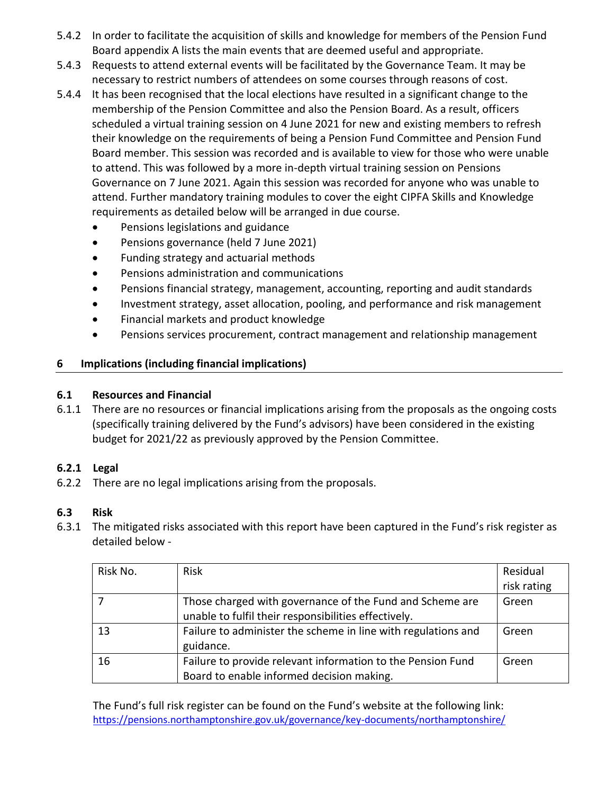- 5.4.2 In order to facilitate the acquisition of skills and knowledge for members of the Pension Fund Board appendix A lists the main events that are deemed useful and appropriate.
- 5.4.3 Requests to attend external events will be facilitated by the Governance Team. It may be necessary to restrict numbers of attendees on some courses through reasons of cost.
- 5.4.4 It has been recognised that the local elections have resulted in a significant change to the membership of the Pension Committee and also the Pension Board. As a result, officers scheduled a virtual training session on 4 June 2021 for new and existing members to refresh their knowledge on the requirements of being a Pension Fund Committee and Pension Fund Board member. This session was recorded and is available to view for those who were unable to attend. This was followed by a more in-depth virtual training session on Pensions Governance on 7 June 2021. Again this session was recorded for anyone who was unable to attend. Further mandatory training modules to cover the eight CIPFA Skills and Knowledge requirements as detailed below will be arranged in due course.
	- Pensions legislations and guidance
	- Pensions governance (held 7 June 2021)
	- Funding strategy and actuarial methods
	- Pensions administration and communications
	- Pensions financial strategy, management, accounting, reporting and audit standards
	- Investment strategy, asset allocation, pooling, and performance and risk management
	- Financial markets and product knowledge
	- Pensions services procurement, contract management and relationship management

## **6 Implications (including financial implications)**

## **6.1 Resources and Financial**

6.1.1 There are no resources or financial implications arising from the proposals as the ongoing costs (specifically training delivered by the Fund's advisors) have been considered in the existing budget for 2021/22 as previously approved by the Pension Committee.

## **6.2.1 Legal**

6.2.2 There are no legal implications arising from the proposals.

## **6.3 Risk**

6.3.1 The mitigated risks associated with this report have been captured in the Fund's risk register as detailed below -

| Risk No. | <b>Risk</b>                                                   | Residual    |
|----------|---------------------------------------------------------------|-------------|
|          |                                                               | risk rating |
|          | Those charged with governance of the Fund and Scheme are      | Green       |
|          | unable to fulfil their responsibilities effectively.          |             |
| 13       | Failure to administer the scheme in line with regulations and | Green       |
|          | guidance.                                                     |             |
| 16       | Failure to provide relevant information to the Pension Fund   | Green       |
|          | Board to enable informed decision making.                     |             |

The Fund's full risk register can be found on the Fund's website at the following link: <https://pensions.northamptonshire.gov.uk/governance/key-documents/northamptonshire/>